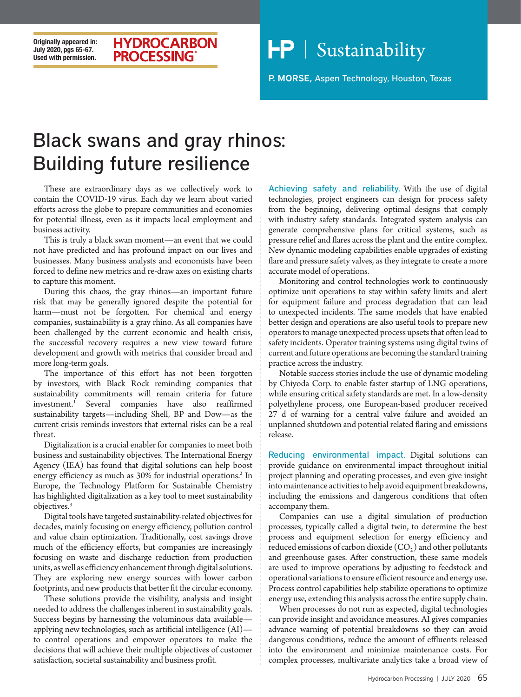**Originally appeared in: July 2020, pgs 65-67. Used with permission.**

## **HYDROCARBON PROCESSING**

**HP** Sustainability

P. MORSE, Aspen Technology, Houston, Texas

## Black swans and gray rhinos: Building future resilience

These are extraordinary days as we collectively work to contain the COVID-19 virus. Each day we learn about varied efforts across the globe to prepare communities and economies for potential illness, even as it impacts local employment and business activity.

This is truly a black swan moment—an event that we could not have predicted and has profound impact on our lives and businesses. Many business analysts and economists have been forced to define new metrics and re-draw axes on existing charts to capture this moment.

During this chaos, the gray rhinos—an important future risk that may be generally ignored despite the potential for harm—must not be forgotten. For chemical and energy companies, sustainability is a gray rhino. As all companies have been challenged by the current economic and health crisis, the successful recovery requires a new view toward future development and growth with metrics that consider broad and more long-term goals.

The importance of this effort has not been forgotten by investors, with Black Rock reminding companies that sustainability commitments will remain criteria for future investment.1 Several companies have also reaffirmed sustainability targets—including Shell, BP and Dow—as the current crisis reminds investors that external risks can be a real threat.

Digitalization is a crucial enabler for companies to meet both business and sustainability objectives. The International Energy Agency (IEA) has found that digital solutions can help boost energy efficiency as much as 30% for industrial operations.<sup>2</sup> In Europe, the Technology Platform for Sustainable Chemistry has highlighted digitalization as a key tool to meet sustainability objectives.3

Digital tools have targeted sustainability-related objectives for decades, mainly focusing on energy efficiency, pollution control and value chain optimization. Traditionally, cost savings drove much of the efficiency efforts, but companies are increasingly focusing on waste and discharge reduction from production units, as well as efficiency enhancement through digital solutions. They are exploring new energy sources with lower carbon footprints, and new products that better fit the circular economy.

These solutions provide the visibility, analysis and insight needed to address the challenges inherent in sustainability goals. Success begins by harnessing the voluminous data available applying new technologies, such as artificial intelligence (AI) to control operations and empower operators to make the decisions that will achieve their multiple objectives of customer satisfaction, societal sustainability and business profit.

Achieving safety and reliability. With the use of digital technologies, project engineers can design for process safety from the beginning, delivering optimal designs that comply with industry safety standards. Integrated system analysis can generate comprehensive plans for critical systems, such as pressure relief and flares across the plant and the entire complex. New dynamic modeling capabilities enable upgrades of existing flare and pressure safety valves, as they integrate to create a more accurate model of operations.

Monitoring and control technologies work to continuously optimize unit operations to stay within safety limits and alert for equipment failure and process degradation that can lead to unexpected incidents. The same models that have enabled better design and operations are also useful tools to prepare new operators to manage unexpected process upsets that often lead to safety incidents. Operator training systems using digital twins of current and future operations are becoming the standard training practice across the industry.

Notable success stories include the use of dynamic modeling by Chiyoda Corp. to enable faster startup of LNG operations, while ensuring critical safety standards are met. In a low-density polyethylene process, one European-based producer received 27 d of warning for a central valve failure and avoided an unplanned shutdown and potential related flaring and emissions release.

Reducing environmental impact. Digital solutions can provide guidance on environmental impact throughout initial project planning and operating processes, and even give insight into maintenance activities to help avoid equipment breakdowns, including the emissions and dangerous conditions that often accompany them.

Companies can use a digital simulation of production processes, typically called a digital twin, to determine the best process and equipment selection for energy efficiency and reduced emissions of carbon dioxide  $(CO<sub>2</sub>)$  and other pollutants and greenhouse gases. After construction, these same models are used to improve operations by adjusting to feedstock and operational variations to ensure efficient resource and energy use. Process control capabilities help stabilize operations to optimize energy use, extending this analysis across the entire supply chain.

When processes do not run as expected, digital technologies can provide insight and avoidance measures. AI gives companies advance warning of potential breakdowns so they can avoid dangerous conditions, reduce the amount of effluents released into the environment and minimize maintenance costs. For complex processes, multivariate analytics take a broad view of